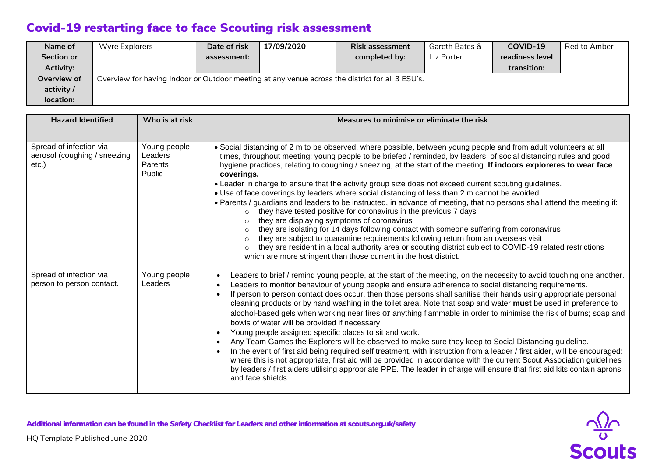## Covid-19 restarting face to face Scouting risk assessment

| Name of     | Wyre Explorers                                                                                  | Date of risk | 17/09/2020 | <b>Risk assessment</b> | Gareth Bates & | COVID-19        | Red to Amber |
|-------------|-------------------------------------------------------------------------------------------------|--------------|------------|------------------------|----------------|-----------------|--------------|
| Section or  |                                                                                                 | assessment:  |            | completed by:          | Liz Porter     | readiness level |              |
| Activity:   |                                                                                                 |              |            |                        |                | transition:     |              |
| Overview of | Overview for having Indoor or Outdoor meeting at any venue across the district for all 3 ESU's. |              |            |                        |                |                 |              |
| activity /  |                                                                                                 |              |            |                        |                |                 |              |
| location:   |                                                                                                 |              |            |                        |                |                 |              |

| <b>Hazard Identified</b>                                            | Who is at risk                                      | Measures to minimise or eliminate the risk                                                                                                                                                                                                                                                                                                                                                                                                                                                                                                                                                                                                                                                                                                                                                                                                                                                                                                                                                                                                                                                                                                                                                                                                 |
|---------------------------------------------------------------------|-----------------------------------------------------|--------------------------------------------------------------------------------------------------------------------------------------------------------------------------------------------------------------------------------------------------------------------------------------------------------------------------------------------------------------------------------------------------------------------------------------------------------------------------------------------------------------------------------------------------------------------------------------------------------------------------------------------------------------------------------------------------------------------------------------------------------------------------------------------------------------------------------------------------------------------------------------------------------------------------------------------------------------------------------------------------------------------------------------------------------------------------------------------------------------------------------------------------------------------------------------------------------------------------------------------|
| Spread of infection via<br>aerosol (coughing / sneezing<br>$etc.$ ) | Young people<br>Leaders<br>Parents<br><b>Public</b> | • Social distancing of 2 m to be observed, where possible, between young people and from adult volunteers at all<br>times, throughout meeting; young people to be briefed / reminded, by leaders, of social distancing rules and good<br>hygiene practices, relating to coughing / sneezing, at the start of the meeting. If indoors exploreres to wear face<br>coverings.<br>. Leader in charge to ensure that the activity group size does not exceed current scouting guidelines.<br>. Use of face coverings by leaders where social distancing of less than 2 m cannot be avoided.<br>• Parents / guardians and leaders to be instructed, in advance of meeting, that no persons shall attend the meeting if:<br>they have tested positive for coronavirus in the previous 7 days<br>$\circ$<br>they are displaying symptoms of coronavirus<br>$\circ$<br>they are isolating for 14 days following contact with someone suffering from coronavirus<br>they are subject to quarantine requirements following return from an overseas visit<br>$\circ$<br>they are resident in a local authority area or scouting district subject to COVID-19 related restrictions<br>which are more stringent than those current in the host district. |
| Spread of infection via<br>person to person contact.                | Young people<br>Leaders                             | Leaders to brief / remind young people, at the start of the meeting, on the necessity to avoid touching one another.<br>Leaders to monitor behaviour of young people and ensure adherence to social distancing requirements.<br>If person to person contact does occur, then those persons shall sanitise their hands using appropriate personal<br>cleaning products or by hand washing in the toilet area. Note that soap and water must be used in preference to<br>alcohol-based gels when working near fires or anything flammable in order to minimise the risk of burns; soap and<br>bowls of water will be provided if necessary.<br>Young people assigned specific places to sit and work.<br>Any Team Games the Explorers will be observed to make sure they keep to Social Distancing guideline.<br>In the event of first aid being required self treatment, with instruction from a leader / first aider, will be encouraged:<br>where this is not appropriate, first aid will be provided in accordance with the current Scout Association guidelines<br>by leaders / first aiders utilising appropriate PPE. The leader in charge will ensure that first aid kits contain aprons<br>and face shields.                        |

 $\frac{\sqrt{2}}{8}$ 

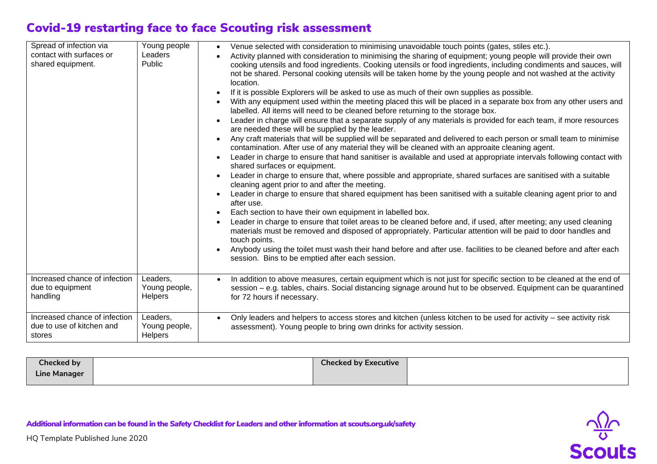## Covid-19 restarting face to face Scouting risk assessment

| Spread of infection via<br>contact with surfaces or<br>shared equipment. | Young people<br>Leaders<br>Public           | Venue selected with consideration to minimising unavoidable touch points (gates, stiles etc.).<br>Activity planned with consideration to minimising the sharing of equipment; young people will provide their own<br>cooking utensils and food ingredients. Cooking utensils or food ingredients, including condiments and sauces, will<br>not be shared. Personal cooking utensils will be taken home by the young people and not washed at the activity<br>location.<br>If it is possible Explorers will be asked to use as much of their own supplies as possible.<br>With any equipment used within the meeting placed this will be placed in a separate box from any other users and<br>labelled. All items will need to be cleaned before returning to the storage box.<br>Leader in charge will ensure that a separate supply of any materials is provided for each team, if more resources<br>are needed these will be supplied by the leader.<br>Any craft materials that will be supplied will be separated and delivered to each person or small team to minimise<br>contamination. After use of any material they will be cleaned with an approaite cleaning agent.<br>Leader in charge to ensure that hand sanitiser is available and used at appropriate intervals following contact with<br>shared surfaces or equipment.<br>Leader in charge to ensure that, where possible and appropriate, shared surfaces are sanitised with a suitable<br>cleaning agent prior to and after the meeting.<br>Leader in charge to ensure that shared equipment has been sanitised with a suitable cleaning agent prior to and<br>after use.<br>Each section to have their own equipment in labelled box.<br>Leader in charge to ensure that toilet areas to be cleaned before and, if used, after meeting; any used cleaning<br>materials must be removed and disposed of appropriately. Particular attention will be paid to door handles and<br>touch points.<br>Anybody using the toilet must wash their hand before and after use. facilities to be cleaned before and after each<br>session. Bins to be emptied after each session. |
|--------------------------------------------------------------------------|---------------------------------------------|--------------------------------------------------------------------------------------------------------------------------------------------------------------------------------------------------------------------------------------------------------------------------------------------------------------------------------------------------------------------------------------------------------------------------------------------------------------------------------------------------------------------------------------------------------------------------------------------------------------------------------------------------------------------------------------------------------------------------------------------------------------------------------------------------------------------------------------------------------------------------------------------------------------------------------------------------------------------------------------------------------------------------------------------------------------------------------------------------------------------------------------------------------------------------------------------------------------------------------------------------------------------------------------------------------------------------------------------------------------------------------------------------------------------------------------------------------------------------------------------------------------------------------------------------------------------------------------------------------------------------------------------------------------------------------------------------------------------------------------------------------------------------------------------------------------------------------------------------------------------------------------------------------------------------------------------------------------------------------------------------------------------------------------------------------------------------------------------------------------------------------------------|
| Increased chance of infection<br>due to equipment<br>handling            | Leaders,<br>Young people,<br><b>Helpers</b> | In addition to above measures, certain equipment which is not just for specific section to be cleaned at the end of<br>session – e.g. tables, chairs. Social distancing signage around hut to be observed. Equipment can be quarantined<br>for 72 hours if necessary.                                                                                                                                                                                                                                                                                                                                                                                                                                                                                                                                                                                                                                                                                                                                                                                                                                                                                                                                                                                                                                                                                                                                                                                                                                                                                                                                                                                                                                                                                                                                                                                                                                                                                                                                                                                                                                                                      |
| Increased chance of infection<br>due to use of kitchen and<br>stores     | Leaders,<br>Young people,<br><b>Helpers</b> | Only leaders and helpers to access stores and kitchen (unless kitchen to be used for activity – see activity risk<br>assessment). Young people to bring own drinks for activity session.                                                                                                                                                                                                                                                                                                                                                                                                                                                                                                                                                                                                                                                                                                                                                                                                                                                                                                                                                                                                                                                                                                                                                                                                                                                                                                                                                                                                                                                                                                                                                                                                                                                                                                                                                                                                                                                                                                                                                   |

| Checked by   | <b>Checked by Executive</b> |  |
|--------------|-----------------------------|--|
| Line Manager |                             |  |

Additional information can be found in the *Safety Checklist for Leaders* and other information at scouts.org.uk/safety



 $\frac{\sqrt{2}}{8}$